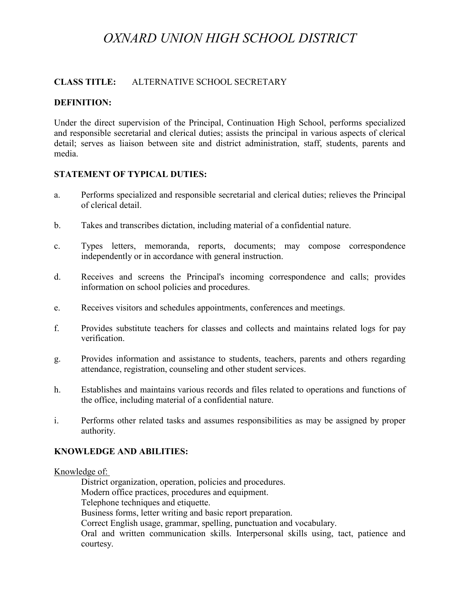# *OXNARD UNION HIGH SCHOOL DISTRICT*

## **CLASS TITLE:** ALTERNATIVE SCHOOL SECRETARY

## **DEFINITION:**

Under the direct supervision of the Principal, Continuation High School, performs specialized and responsible secretarial and clerical duties; assists the principal in various aspects of clerical detail; serves as liaison between site and district administration, staff, students, parents and media.

## **STATEMENT OF TYPICAL DUTIES:**

- a. Performs specialized and responsible secretarial and clerical duties; relieves the Principal of clerical detail.
- b. Takes and transcribes dictation, including material of a confidential nature.
- c. Types letters, memoranda, reports, documents; may compose correspondence independently or in accordance with general instruction.
- d. Receives and screens the Principal's incoming correspondence and calls; provides information on school policies and procedures.
- e. Receives visitors and schedules appointments, conferences and meetings.
- f. Provides substitute teachers for classes and collects and maintains related logs for pay verification.
- g. Provides information and assistance to students, teachers, parents and others regarding attendance, registration, counseling and other student services.
- h. Establishes and maintains various records and files related to operations and functions of the office, including material of a confidential nature.
- i. Performs other related tasks and assumes responsibilities as may be assigned by proper authority.

## **KNOWLEDGE AND ABILITIES:**

#### Knowledge of:

District organization, operation, policies and procedures. Modern office practices, procedures and equipment. Telephone techniques and etiquette. Business forms, letter writing and basic report preparation. Correct English usage, grammar, spelling, punctuation and vocabulary. Oral and written communication skills. Interpersonal skills using, tact, patience and courtesy.